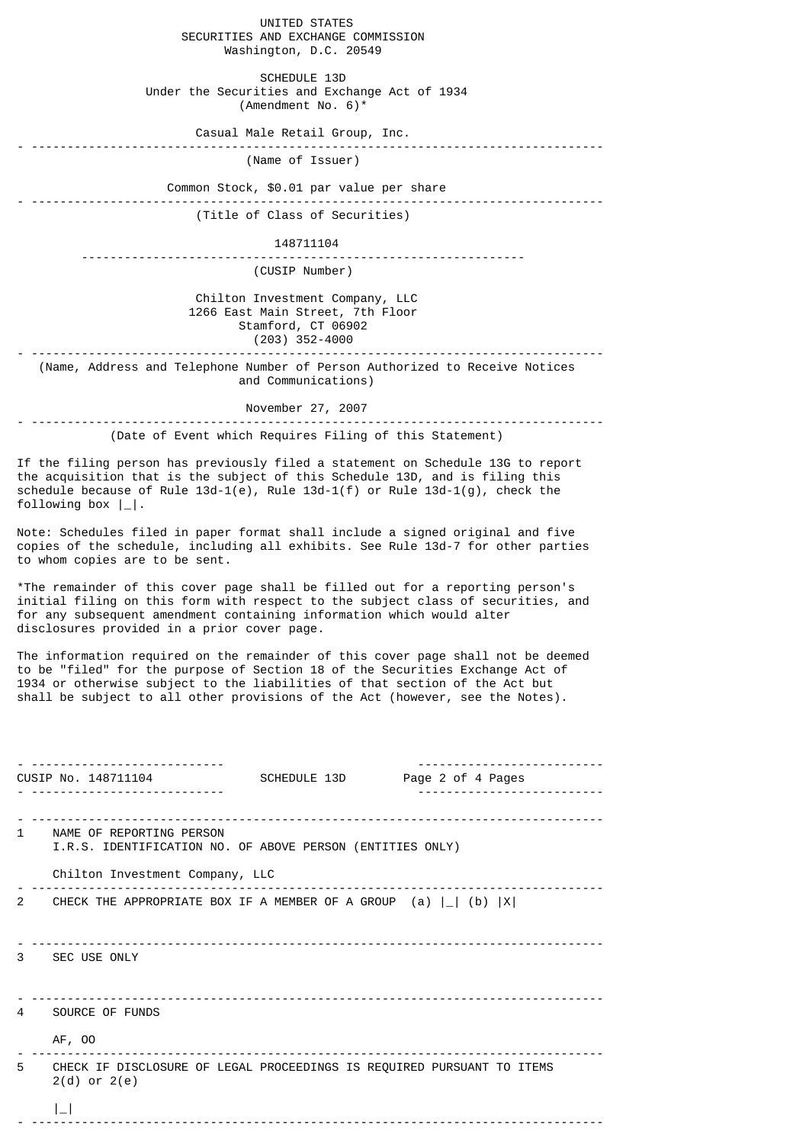UNITED STATES SECURITIES AND EXCHANGE COMMISSION Washington, D.C. 20549 SCHEDULE 13D Under the Securities and Exchange Act of 1934 (Amendment No. 6)\* Casual Male Retail Group, Inc. - -------------------------------------------------------------------------------- (Name of Issuer) Common Stock, \$0.01 par value per share - -------------------------------------------------------------------------------- (Title of Class of Securities) 148711104 -------------------------------------------------------------- (CUSIP Number) Chilton Investment Company, LLC 1266 East Main Street, 7th Floor Stamford, CT 06902  $(203)$  352-4000 - -------------------------------------------------------------------------------- (Name, Address and Telephone Number of Person Authorized to Receive Notices and Communications) November 27, 2007 - -------------------------------------------------------------------------------- (Date of Event which Requires Filing of this Statement) If the filing person has previously filed a statement on Schedule 13G to report the acquisition that is the subject of this Schedule 13D, and is filing this schedule because of Rule  $13d-1(e)$ , Rule  $13d-1(f)$  or Rule  $13d-1(g)$ , check the following box |\_|. Note: Schedules filed in paper format shall include a signed original and five copies of the schedule, including all exhibits. See Rule 13d-7 for other parties to whom copies are to be sent. \*The remainder of this cover page shall be filled out for a reporting person's initial filing on this form with respect to the subject class of securities, and for any subsequent amendment containing information which would alter disclosures provided in a prior cover page. The information required on the remainder of this cover page shall not be deemed to be "filed" for the purpose of Section 18 of the Securities Exchange Act of 1934 or otherwise subject to the liabilities of that section of the Act but shall be subject to all other provisions of the Act (however, see the Notes). - --------------------------- -------------------------- CUSIP No. 148711104 - --------------------------- -------------------------- - -------------------------------------------------------------------------------- 1 NAME OF REPORTING PERSON I.R.S. IDENTIFICATION NO. OF ABOVE PERSON (ENTITIES ONLY) Chilton Investment Company, LLC - -------------------------------------------------------------------------------- 2 CHECK THE APPROPRIATE BOX IF A MEMBER OF A GROUP  $(a) |$   $|$   $(b)$   $|$  $X$  $|$ - -------------------------------------------------------------------------------- 3 SEC USE ONLY - -------------------------------------------------------------------------------- SOURCE OF FUNDS AF, OO - -------------------------------------------------------------------------------- 5 CHECK IF DISCLOSURE OF LEGAL PROCEEDINGS IS REQUIRED PURSUANT TO ITEMS 2(d) or 2(e)  $|_{-}|$ - --------------------------------------------------------------------------------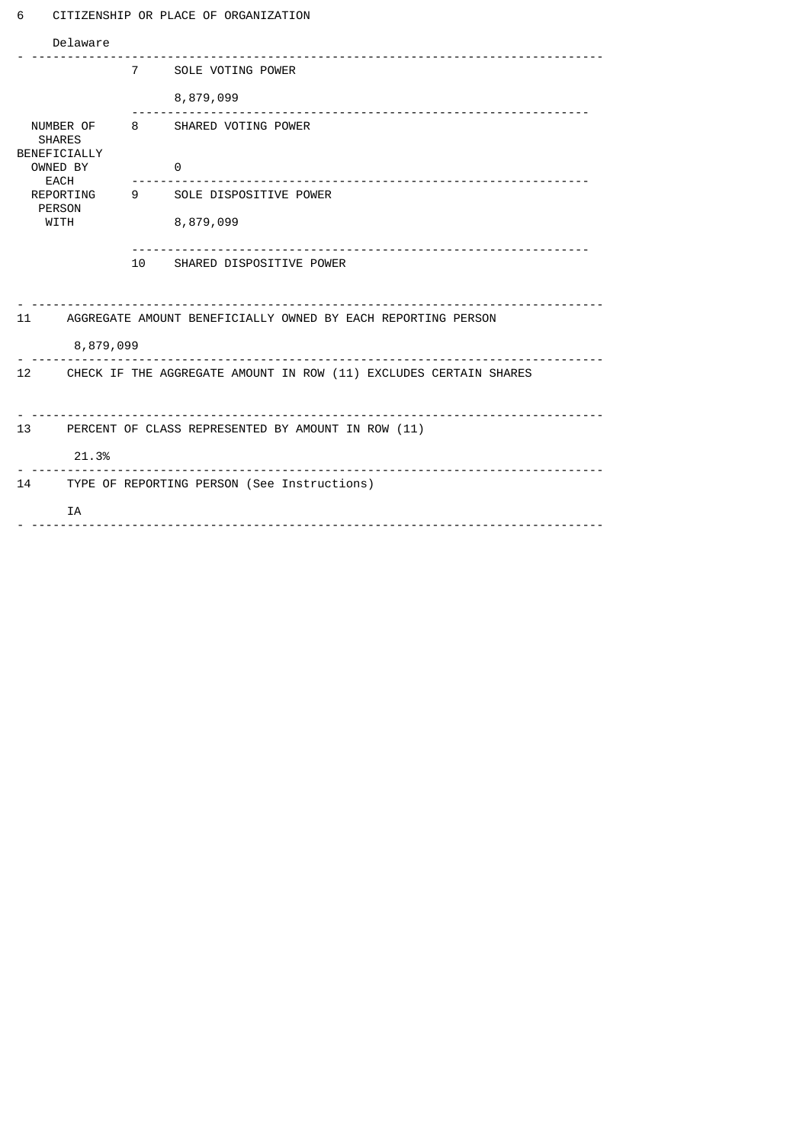## 6 CITIZENSHIP OR PLACE OF ORGANIZATION

| Delaware                                                                                                    |                                                      |                             |                                       |  |  |  |  |
|-------------------------------------------------------------------------------------------------------------|------------------------------------------------------|-----------------------------|---------------------------------------|--|--|--|--|
|                                                                                                             |                                                      |                             | 7 SOLE VOTING POWER                   |  |  |  |  |
| NUMBER OF<br><b>SHARES</b><br>BENEFICIALLY<br>OWNED BY<br><b>EACH</b><br>REPORTING<br><b>PERSON</b><br>WITH |                                                      |                             | 8,879,099<br><u>o dia dia dia dia</u> |  |  |  |  |
|                                                                                                             |                                                      |                             | 8 SHARED VOTING POWER                 |  |  |  |  |
|                                                                                                             |                                                      |                             | 0                                     |  |  |  |  |
|                                                                                                             |                                                      |                             | 9 SOLE DISPOSITIVE POWER              |  |  |  |  |
|                                                                                                             |                                                      |                             | 8,879,099                             |  |  |  |  |
|                                                                                                             |                                                      | 10 SHARED DISPOSITIVE POWER |                                       |  |  |  |  |
| 11<br>AGGREGATE AMOUNT BENEFICIALLY OWNED BY EACH REPORTING PERSON                                          |                                                      |                             |                                       |  |  |  |  |
| 8,879,099                                                                                                   |                                                      |                             |                                       |  |  |  |  |
| $12 \overline{ }$<br>CHECK IF THE AGGREGATE AMOUNT IN ROW (11) EXCLUDES CERTAIN SHARES                      |                                                      |                             |                                       |  |  |  |  |
|                                                                                                             |                                                      |                             |                                       |  |  |  |  |
| 13                                                                                                          | PERCENT OF CLASS REPRESENTED BY AMOUNT IN ROW (11)   |                             |                                       |  |  |  |  |
|                                                                                                             | 21.3%<br><u>.</u>                                    |                             |                                       |  |  |  |  |
| 14                                                                                                          | TYPE OF REPORTING PERSON (See Instructions)          |                             |                                       |  |  |  |  |
|                                                                                                             | <b>TA</b><br><u> - - - - - - - - - - - - - - - -</u> |                             |                                       |  |  |  |  |
|                                                                                                             |                                                      |                             |                                       |  |  |  |  |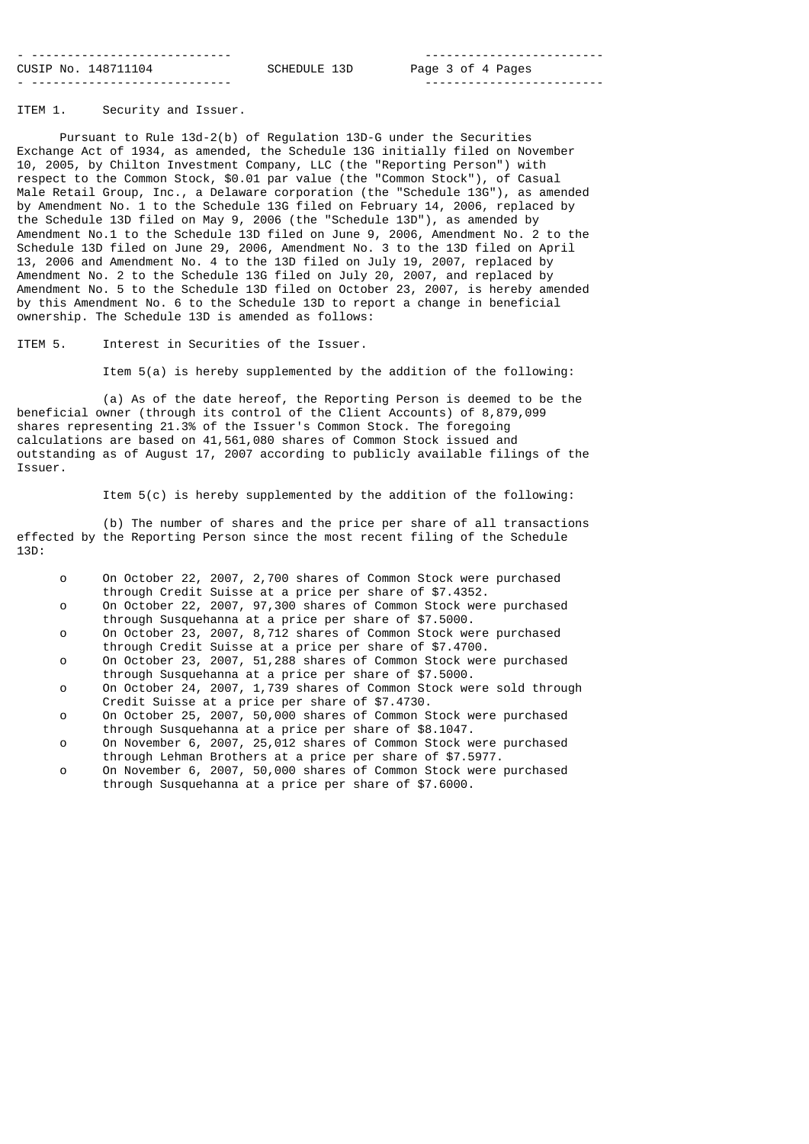| ________________________________ |              | ------------------------- |  |
|----------------------------------|--------------|---------------------------|--|
| CUSIP No. 148711104              | SCHEDULE 13D | Page 3 of 4 Pages         |  |
| ________________________________ |              | ------------------------- |  |

ITEM 1. Security and Issuer.

 Pursuant to Rule 13d-2(b) of Regulation 13D-G under the Securities Exchange Act of 1934, as amended, the Schedule 13G initially filed on November 10, 2005, by Chilton Investment Company, LLC (the "Reporting Person") with respect to the Common Stock, \$0.01 par value (the "Common Stock"), of Casual Male Retail Group, Inc., a Delaware corporation (the "Schedule 13G"), as amended by Amendment No. 1 to the Schedule 13G filed on February 14, 2006, replaced by the Schedule 13D filed on May 9, 2006 (the "Schedule 13D"), as amended by Amendment No.1 to the Schedule 13D filed on June 9, 2006, Amendment No. 2 to the Schedule 13D filed on June 29, 2006, Amendment No. 3 to the 13D filed on April 13, 2006 and Amendment No. 4 to the 13D filed on July 19, 2007, replaced by Amendment No. 2 to the Schedule 13G filed on July 20, 2007, and replaced by Amendment No. 5 to the Schedule 13D filed on October 23, 2007, is hereby amended by this Amendment No. 6 to the Schedule 13D to report a change in beneficial ownership. The Schedule 13D is amended as follows:

ITEM 5. Interest in Securities of the Issuer.

Item 5(a) is hereby supplemented by the addition of the following:

 (a) As of the date hereof, the Reporting Person is deemed to be the beneficial owner (through its control of the Client Accounts) of 8,879,099 shares representing 21.3% of the Issuer's Common Stock. The foregoing calculations are based on 41,561,080 shares of Common Stock issued and outstanding as of August 17, 2007 according to publicly available filings of the Issuer.

Item 5(c) is hereby supplemented by the addition of the following:

 (b) The number of shares and the price per share of all transactions effected by the Reporting Person since the most recent filing of the Schedule 13D:

|  | On October 22, 2007, 2,700 shares of Common Stock were purchased  |
|--|-------------------------------------------------------------------|
|  | through Credit Suisse at a price per share of \$7.4352.           |
|  | On October 22, 2007, 97,300 shares of Common Stock were purchased |

- through Susquehanna at a price per share of \$7.5000.<br>On October 23, 2007, 8.712 shares of Common Stock we
- On October 23, 2007, 8,712 shares of Common Stock were purchased through Credit Suisse at a price per share of \$7.4700.<br>On October 23, 2007, 51.288 shares of Common Stock wer
- On October 23, 2007, 51,288 shares of Common Stock were purchased through Susquehanna at a price per share of \$7.5000.<br>On October 24, 2007, 1,739 shares of Common Stock We
- On October 24, 2007, 1,739 shares of Common Stock were sold through Credit Suisse at a price per share of \$7.4730.
- o On October 25, 2007, 50,000 shares of Common Stock were purchased through Susquehanna at a price per share of \$8.1047.
- o On November 6, 2007, 25,012 shares of Common Stock were purchased through Lehman Brothers at a price per share of \$7.5977.
- o On November 6, 2007, 50,000 shares of Common Stock were purchased through Susquehanna at a price per share of \$7.6000.